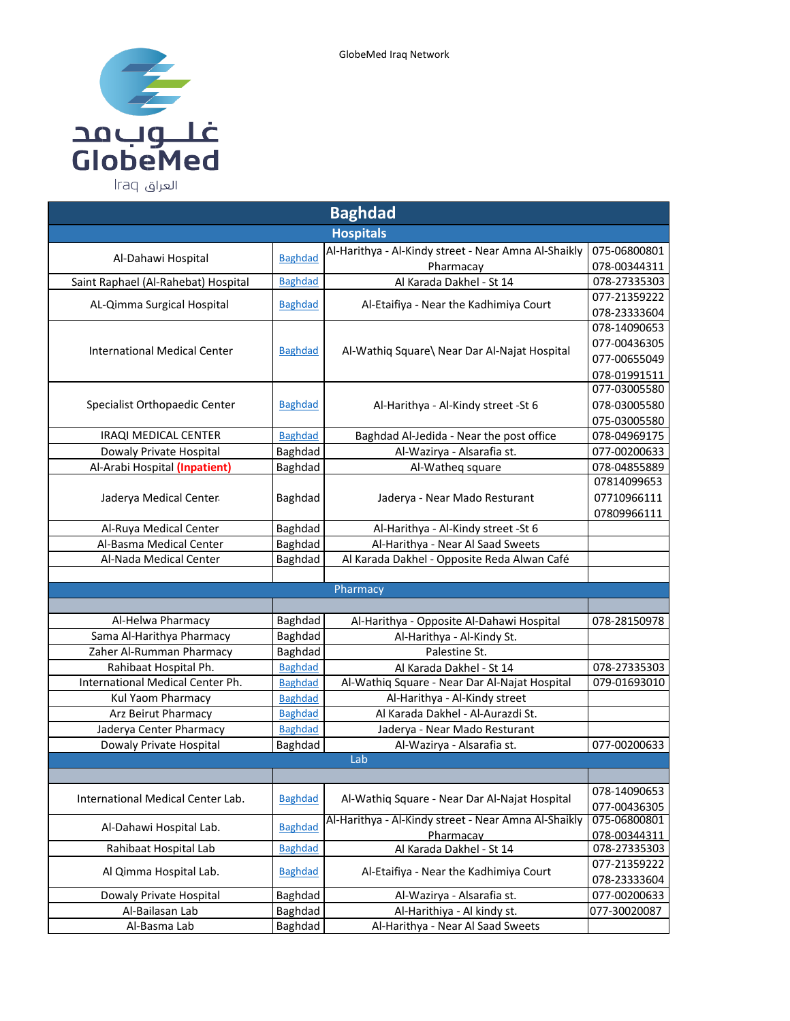

| <b>Baghdad</b>                      |                                                         |                                                      |                              |  |  |  |  |
|-------------------------------------|---------------------------------------------------------|------------------------------------------------------|------------------------------|--|--|--|--|
| <b>Hospitals</b>                    |                                                         |                                                      |                              |  |  |  |  |
| Al-Dahawi Hospital                  | <b>Baghdad</b>                                          | Al-Harithya - Al-Kindy street - Near Amna Al-Shaikly | 075-06800801                 |  |  |  |  |
|                                     |                                                         | Pharmacay                                            | 078-00344311                 |  |  |  |  |
| Saint Raphael (Al-Rahebat) Hospital | <b>Baghdad</b>                                          | Al Karada Dakhel - St 14                             | 078-27335303                 |  |  |  |  |
| AL-Qimma Surgical Hospital          | <b>Baghdad</b>                                          | Al-Etaifiya - Near the Kadhimiya Court               | 077-21359222                 |  |  |  |  |
|                                     |                                                         |                                                      | 078-23333604                 |  |  |  |  |
|                                     |                                                         |                                                      | 078-14090653                 |  |  |  |  |
| <b>International Medical Center</b> | <b>Baghdad</b>                                          | Al-Wathiq Square\ Near Dar Al-Najat Hospital         | 077-00436305                 |  |  |  |  |
|                                     |                                                         |                                                      | 077-00655049                 |  |  |  |  |
|                                     |                                                         |                                                      | 078-01991511<br>077-03005580 |  |  |  |  |
| Specialist Orthopaedic Center       | <b>Baghdad</b>                                          | Al-Harithya - Al-Kindy street - St 6                 | 078-03005580                 |  |  |  |  |
|                                     |                                                         |                                                      | 075-03005580                 |  |  |  |  |
| IRAQI MEDICAL CENTER                | <b>Baghdad</b>                                          | Baghdad Al-Jedida - Near the post office             | 078-04969175                 |  |  |  |  |
| Dowaly Private Hospital             | Baghdad                                                 | Al-Wazirya - Alsarafia st.                           | 077-00200633                 |  |  |  |  |
| Al-Arabi Hospital (Inpatient)       | Baghdad                                                 | Al-Watheg square                                     | 078-04855889                 |  |  |  |  |
|                                     |                                                         |                                                      | 07814099653                  |  |  |  |  |
| Jaderya Medical Center              | Baghdad                                                 | Jaderya - Near Mado Resturant                        | 07710966111                  |  |  |  |  |
|                                     |                                                         |                                                      | 07809966111                  |  |  |  |  |
| Al-Ruya Medical Center              | Baghdad                                                 | Al-Harithya - Al-Kindy street - St 6                 |                              |  |  |  |  |
| Al-Basma Medical Center             | Baghdad                                                 | Al-Harithya - Near Al Saad Sweets                    |                              |  |  |  |  |
| Al-Nada Medical Center              | Baghdad                                                 | Al Karada Dakhel - Opposite Reda Alwan Café          |                              |  |  |  |  |
|                                     |                                                         |                                                      |                              |  |  |  |  |
|                                     |                                                         | Pharmacy                                             |                              |  |  |  |  |
|                                     |                                                         |                                                      |                              |  |  |  |  |
| Al-Helwa Pharmacy                   | Baghdad                                                 | Al-Harithya - Opposite Al-Dahawi Hospital            | 078-28150978                 |  |  |  |  |
| Sama Al-Harithya Pharmacy           | Baghdad                                                 | Al-Harithya - Al-Kindy St.                           |                              |  |  |  |  |
| Zaher Al-Rumman Pharmacy            | Baghdad                                                 | Palestine St.                                        |                              |  |  |  |  |
| Rahibaat Hospital Ph.               | <b>Baghdad</b>                                          | Al Karada Dakhel - St 14                             | 078-27335303                 |  |  |  |  |
| International Medical Center Ph.    | <b>Baghdad</b>                                          | Al-Wathiq Square - Near Dar Al-Najat Hospital        | 079-01693010                 |  |  |  |  |
| Kul Yaom Pharmacy                   | <b>Baghdad</b>                                          | Al-Harithya - Al-Kindy street                        |                              |  |  |  |  |
| Arz Beirut Pharmacy                 | <b>Baghdad</b>                                          | Al Karada Dakhel - Al-Aurazdi St.                    |                              |  |  |  |  |
| Jaderya Center Pharmacy             | <b>Baghdad</b>                                          | Jaderya - Near Mado Resturant                        |                              |  |  |  |  |
| Dowaly Private Hospital             | Baghdad                                                 | Al-Wazirya - Alsarafia st.                           | 077-00200633                 |  |  |  |  |
|                                     |                                                         | Lab                                                  |                              |  |  |  |  |
|                                     |                                                         |                                                      |                              |  |  |  |  |
| International Medical Center Lab.   | <b>Baghdad</b>                                          | Al-Wathiq Square - Near Dar Al-Najat Hospital        | 078-14090653                 |  |  |  |  |
|                                     |                                                         | Al-Harithya - Al-Kindy street - Near Amna Al-Shaikly | 077-00436305<br>075-06800801 |  |  |  |  |
| Al-Dahawi Hospital Lab.             | <b>Baghdad</b>                                          |                                                      | 078-00344311                 |  |  |  |  |
| Rahibaat Hospital Lab               | Pharmacay<br><b>Baghdad</b><br>Al Karada Dakhel - St 14 |                                                      | 078-27335303                 |  |  |  |  |
|                                     |                                                         |                                                      | 077-21359222                 |  |  |  |  |
| Al Qimma Hospital Lab.              | <b>Baghdad</b>                                          | Al-Etaifiya - Near the Kadhimiya Court               | 078-23333604                 |  |  |  |  |
| Dowaly Private Hospital             | Baghdad                                                 | Al-Wazirya - Alsarafia st.                           | 077-00200633                 |  |  |  |  |
| Al-Bailasan Lab                     | Baghdad                                                 | Al-Harithiya - Al kindy st.                          | 077-30020087                 |  |  |  |  |
| Al-Basma Lab                        | Baghdad                                                 | Al-Harithya - Near Al Saad Sweets                    |                              |  |  |  |  |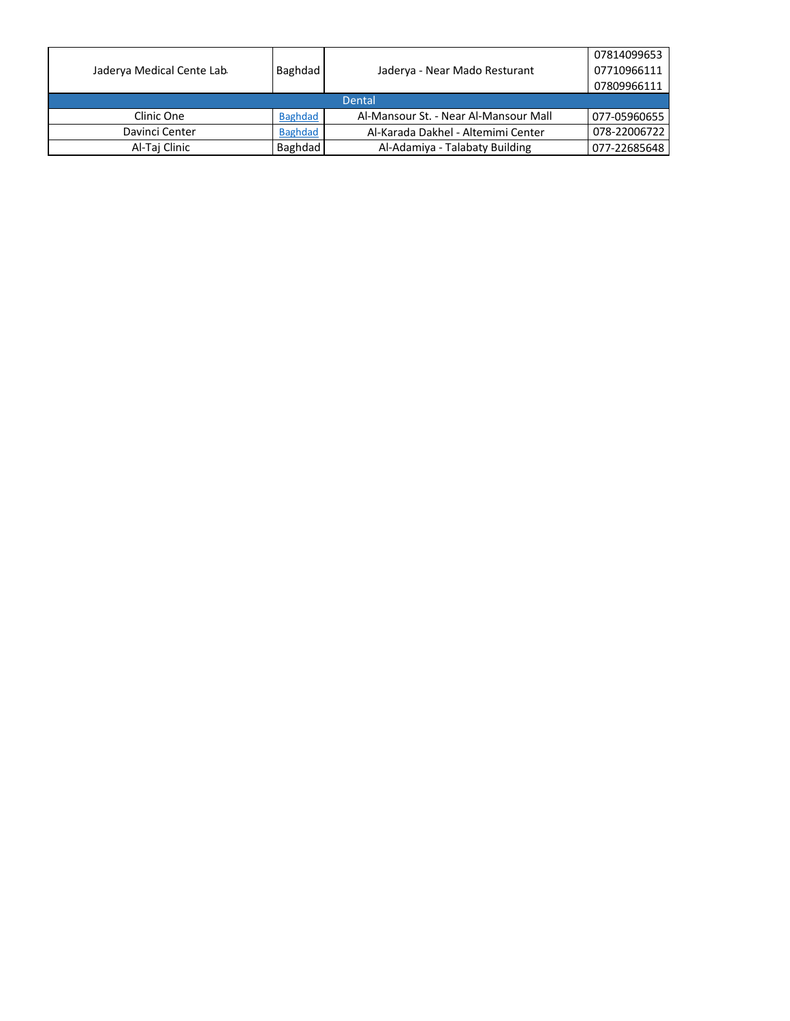|                           |                |                                       | 07814099653  |  |  |
|---------------------------|----------------|---------------------------------------|--------------|--|--|
| Jaderya Medical Cente Lab | Baghdad        | Jaderya - Near Mado Resturant         | 07710966111  |  |  |
|                           |                |                                       | 07809966111  |  |  |
| Dental                    |                |                                       |              |  |  |
| Clinic One                | <b>Baghdad</b> | Al-Mansour St. - Near Al-Mansour Mall | 077-05960655 |  |  |
| Davinci Center            | <b>Baghdad</b> | Al-Karada Dakhel - Altemimi Center    | 078-22006722 |  |  |
| Al-Taj Clinic             | Baghdad        | Al-Adamiya - Talabaty Building        | 077-22685648 |  |  |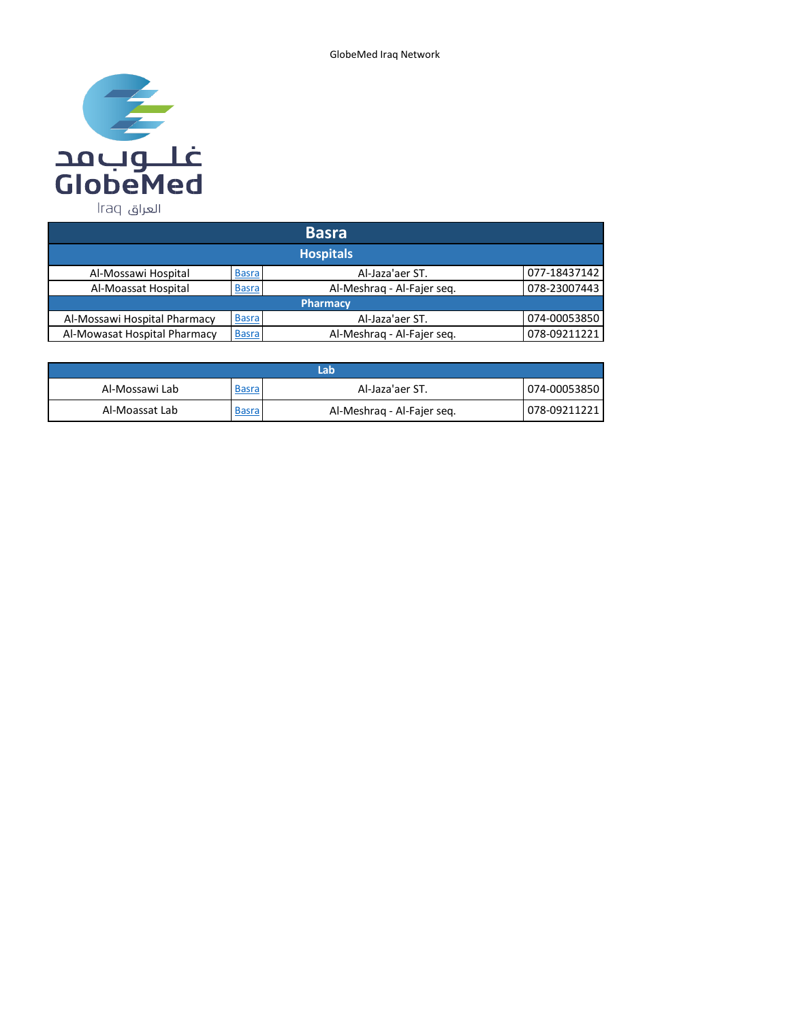

| <b>Basra</b>                 |              |                            |              |  |
|------------------------------|--------------|----------------------------|--------------|--|
| <b>Hospitals</b>             |              |                            |              |  |
| Al-Mossawi Hospital          | <b>Basra</b> | Al-Jaza'aer ST.            | 077-18437142 |  |
| Al-Moassat Hospital          | <b>Basra</b> | Al-Meshrag - Al-Fajer seg. | 078-23007443 |  |
| <b>Pharmacy</b>              |              |                            |              |  |
| Al-Mossawi Hospital Pharmacy | <b>Basra</b> | Al-Jaza'aer ST.            | 074-00053850 |  |
| Al-Mowasat Hospital Pharmacy | <b>Basra</b> | Al-Meshrag - Al-Fajer seg. | 078-09211221 |  |

| Lab            |              |                            |              |
|----------------|--------------|----------------------------|--------------|
| Al-Mossawi Lab | <u>Basra</u> | Al-Jaza'aer ST.            | 074-00053850 |
| Al-Moassat Lab | <b>Basra</b> | Al-Meshrag - Al-Fajer seg. | 078-09211221 |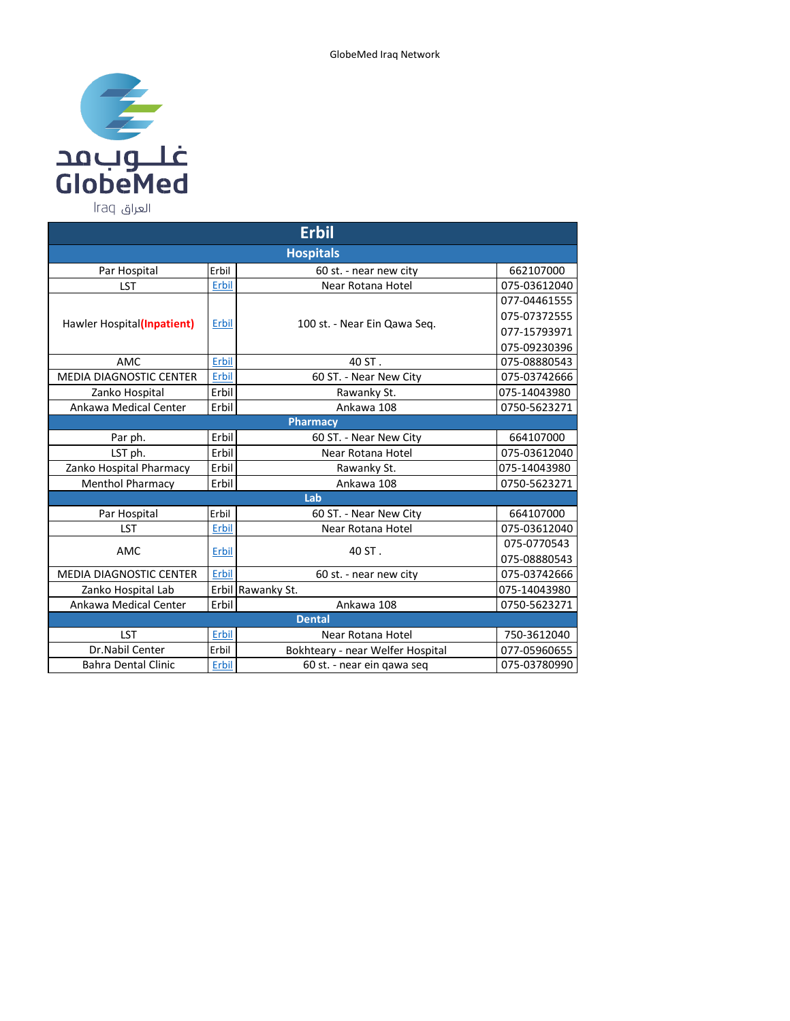

Par Hospital Erbil Erbil 60 st. - near new city 662107000 LST Erbil Erbil Near Rotana Hotel 075-03612040 Hawler Hospital(**Inpatient**) Erbil 100 st. - Near Ein Qawa Seq. 077-04461555 075-07372555 077-15793971 075-09230396 AMC Erbil Erbil 40 ST. 1075-08880543 MEDIA DIAGNOSTIC CENTER Erbil 60 ST. - Near New City 075-03742666 Zanko Hospital | Erbil | Kawanky St. | 075-14043980 Ankawa Medical Center Erbil Ankawa 108 0750-5623271 Par ph. **Erbil 60 ST.** - Near New City 1664107000 LST ph.  $\vert$  Erbil  $\vert$  Erbil Near Rotana Hotel  $\vert$  075-03612040 Zanko Hospital Pharmacy Erbil Rawanky St. 075-14043980 Menthol Pharmacy Erbil Ankawa 108 0750-5623271 Par Hospital Erbil Erbil 60 ST. - Near New City 664107000 LST Erbil Erbil Near Rotana Hotel 075-03612040 AMC  $\begin{array}{|c|c|c|c|c|}\n\hline\n\text{Fbil} & \text{A0 ST} & \text{A0 ST} & \text{A0 ST} & \text{A0 ST} & \text{A0 ST} & \text{A0 ST} & \text{A0 ST} & \text{A0 ST} & \text{A0 ST} & \text{A0 T} & \text{A0 T} & \text{A0 T} & \text{A0 T} & \text{A0 T} & \text{A0 T} & \text{A0 T} & \text{A0 T} & \text{A0 T} & \text{A0 T} & \text{A1 T} & \text{A2 T} & \text{A3 T} & \text{A4 T} & \text$ 075-08880543 MEDIA DIAGNOSTIC CENTER Erbil 60 st. - near new city 075-03742666 Zanko Hospital Lab Erbil Rawanky St. 075-14043980 Ankawa Medical Center Erbil Ankawa 108 0750-5623271 LST Erbil Erbil Near Rotana Hotel 750-3612040 Dr.Nabil Center Erbil Bokhteary - near Welfer Hospital 077-05960655<br>
Subra Dental Clinic Erbil 60 st. - near ein gawa seg 075-03780990 Bahra Dental Clinic Erbil Erbil 60 st. - near ein qawa seq 075-03780990  **Erbil Hospitals Pharmacy Lab Dental**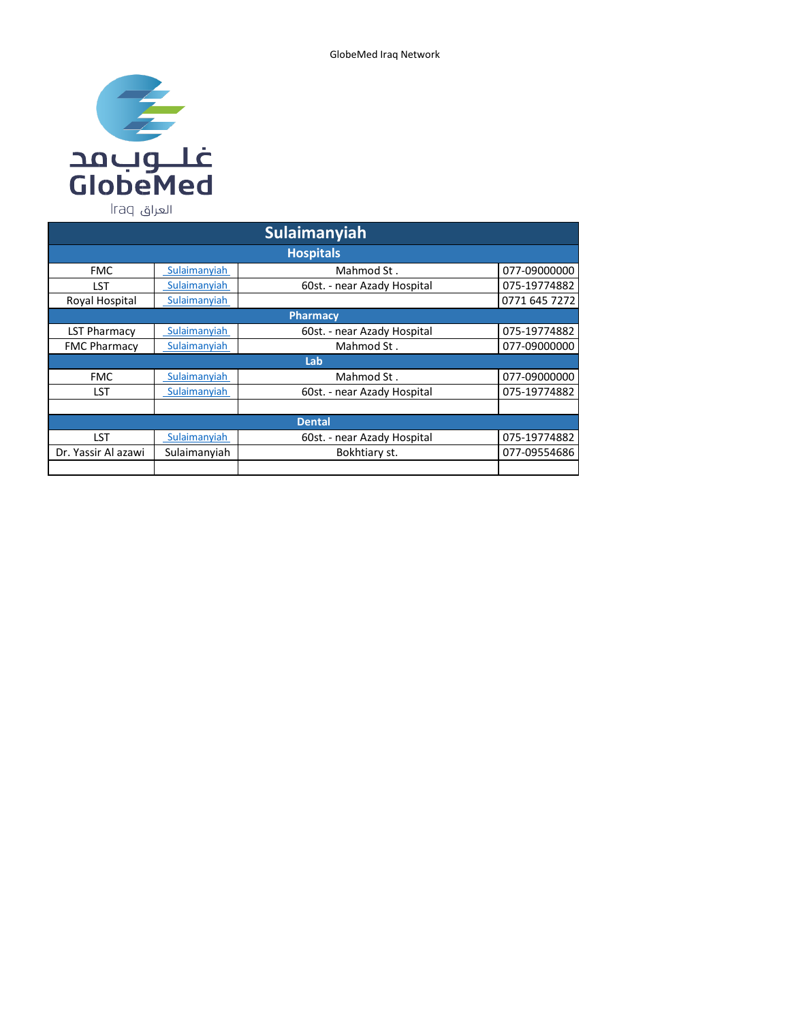

| <b>Sulaimanyiah</b> |              |                             |               |  |  |
|---------------------|--------------|-----------------------------|---------------|--|--|
|                     |              | <b>Hospitals</b>            |               |  |  |
| <b>FMC</b>          | Sulaimanyiah | Mahmod St.                  | 077-09000000  |  |  |
| LST                 | Sulaimanyiah | 60st. - near Azady Hospital | 075-19774882  |  |  |
| Royal Hospital      | Sulaimanyiah |                             | 0771 645 7272 |  |  |
|                     |              | <b>Pharmacy</b>             |               |  |  |
| <b>LST Pharmacy</b> | Sulaimanyiah | 60st. - near Azady Hospital | 075-19774882  |  |  |
| <b>FMC Pharmacy</b> | Sulaimanyiah | Mahmod St.                  | 077-09000000  |  |  |
|                     |              | Lab                         |               |  |  |
| <b>FMC</b>          | Sulaimanyiah | Mahmod St.                  | 077-09000000  |  |  |
| <b>LST</b>          | Sulaimanyiah | 60st. - near Azady Hospital | 075-19774882  |  |  |
|                     |              |                             |               |  |  |
| <b>Dental</b>       |              |                             |               |  |  |
| LST                 | Sulaimanyiah | 60st. - near Azady Hospital | 075-19774882  |  |  |
| Dr. Yassir Al azawi | Sulaimanyiah | Bokhtiary st.               | 077-09554686  |  |  |
|                     |              |                             |               |  |  |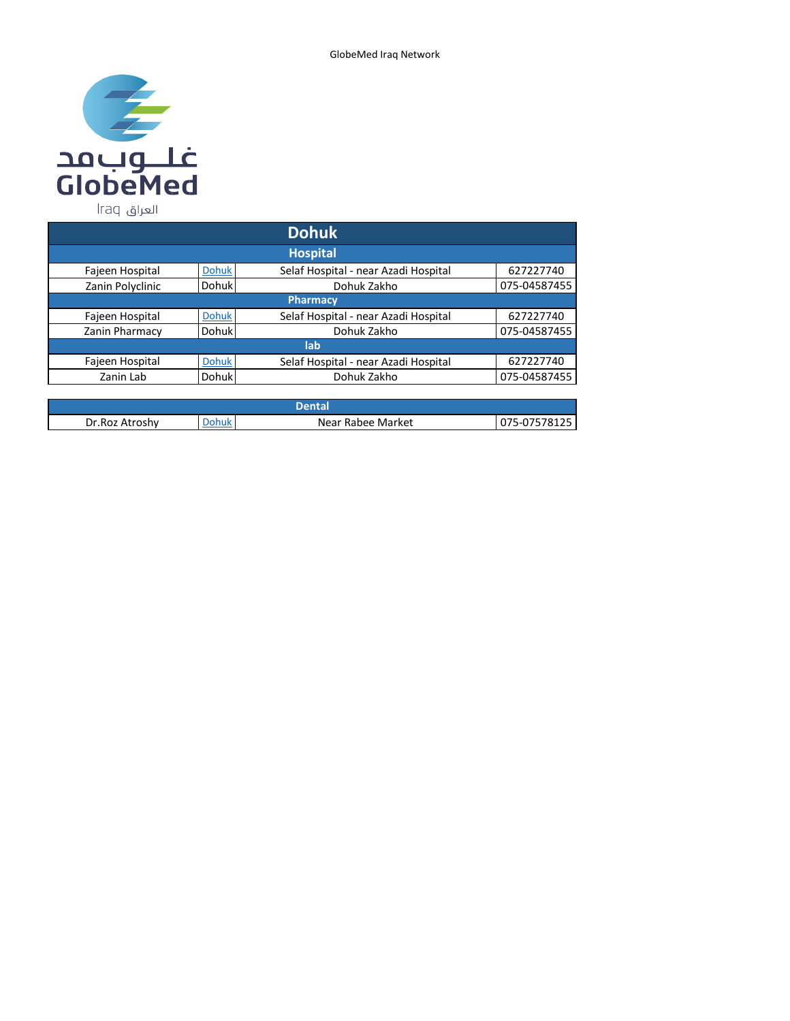

| <b>Dohuk</b>     |              |                                      |              |  |  |
|------------------|--------------|--------------------------------------|--------------|--|--|
|                  |              | <b>Hospital</b>                      |              |  |  |
| Fajeen Hospital  | <b>Dohuk</b> | Selaf Hospital - near Azadi Hospital | 627227740    |  |  |
| Zanin Polyclinic | Dohuk        | Dohuk Zakho                          | 075-04587455 |  |  |
|                  |              | <b>Pharmacy</b>                      |              |  |  |
| Fajeen Hospital  | <b>Dohuk</b> | Selaf Hospital - near Azadi Hospital | 627227740    |  |  |
| Zanin Pharmacy   | Dohuk        | Dohuk Zakho                          | 075-04587455 |  |  |
|                  | lab          |                                      |              |  |  |
| Fajeen Hospital  | <b>Dohuk</b> | Selaf Hospital - near Azadi Hospital | 627227740    |  |  |
| Zanin Lab        | <b>Dohuk</b> | Dohuk Zakho                          | 075-04587455 |  |  |
|                  |              |                                      |              |  |  |

| Dr.Roz<br>. Atroshv | )ohuk | Near Rabee Market | $\sim$ $\sim$<br>. ה<br>ュエムコ |  |
|---------------------|-------|-------------------|------------------------------|--|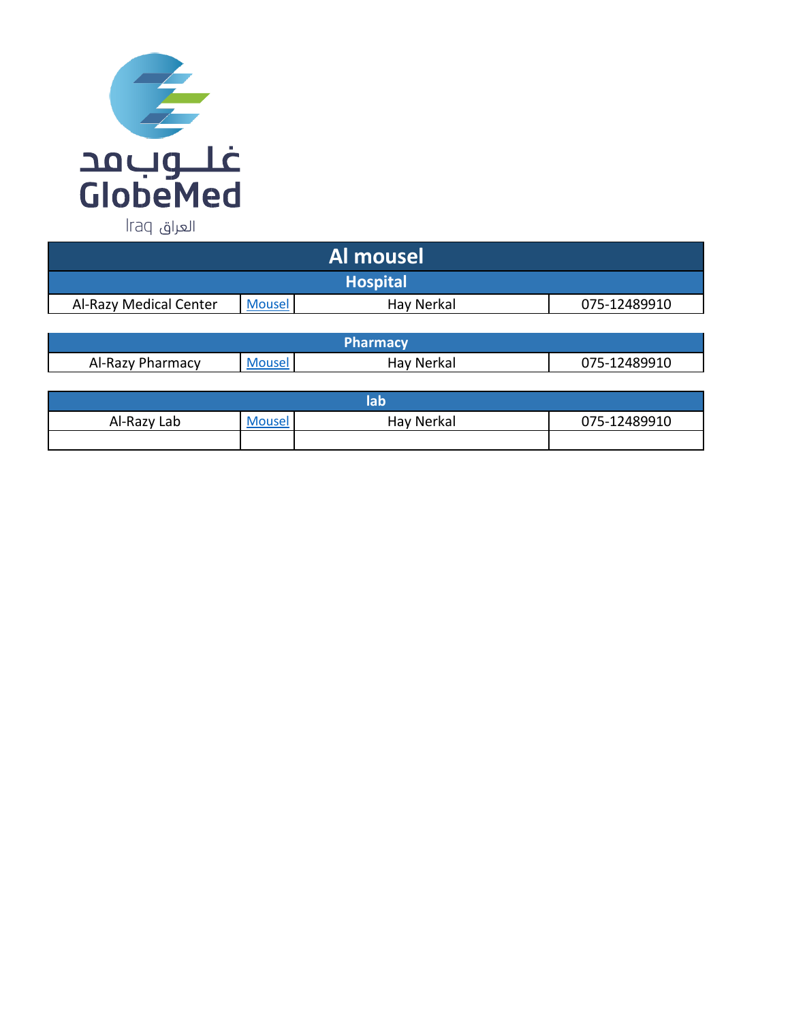

| Al mousel       |            |                                  |  |  |  |
|-----------------|------------|----------------------------------|--|--|--|
| <b>Hospital</b> |            |                                  |  |  |  |
| <b>Mousel</b>   | Hay Nerkal | 075-12489910                     |  |  |  |
|                 |            |                                  |  |  |  |
|                 |            | <b>Independence of the State</b> |  |  |  |

| Al-Razy<br>harmacv | <b>Mouse</b> | Hav Nerkal | 2489910<br>$.75-1$<br>U7 |  |
|--------------------|--------------|------------|--------------------------|--|

| Al-Razy Lab | <b>Mousel</b> | Hay Nerkal | 075-12489910 |  |
|-------------|---------------|------------|--------------|--|
|             |               |            |              |  |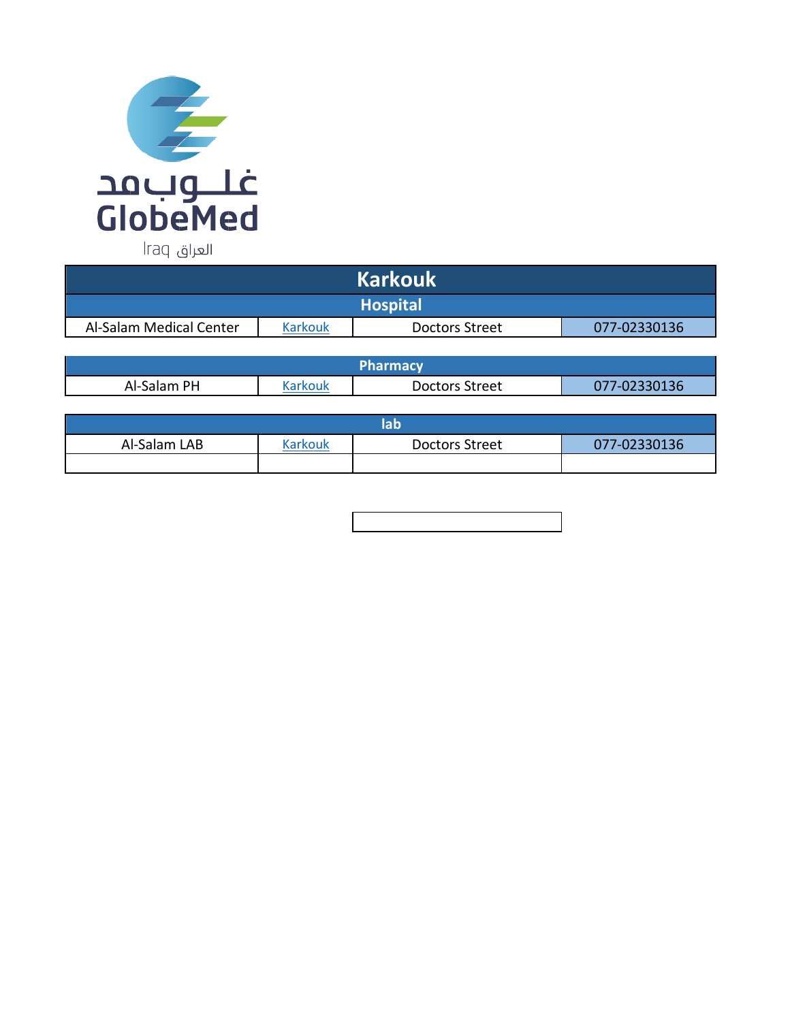

| <b>Karkouk</b>          |         |                |              |  |
|-------------------------|---------|----------------|--------------|--|
| <b>Hospital</b>         |         |                |              |  |
| Al-Salam Medical Center | Karkouk | Doctors Street | 077-02330136 |  |

| <b>Pharmacy</b> |         |                |              |  |  |
|-----------------|---------|----------------|--------------|--|--|
| Al-Salam PH     | Karkouk | Doctors Street | 077-02330136 |  |  |

| bh           |         |                       |              |  |
|--------------|---------|-----------------------|--------------|--|
| Al-Salam LAB | Karkouk | <b>Doctors Street</b> | 077-02330136 |  |
|              |         |                       |              |  |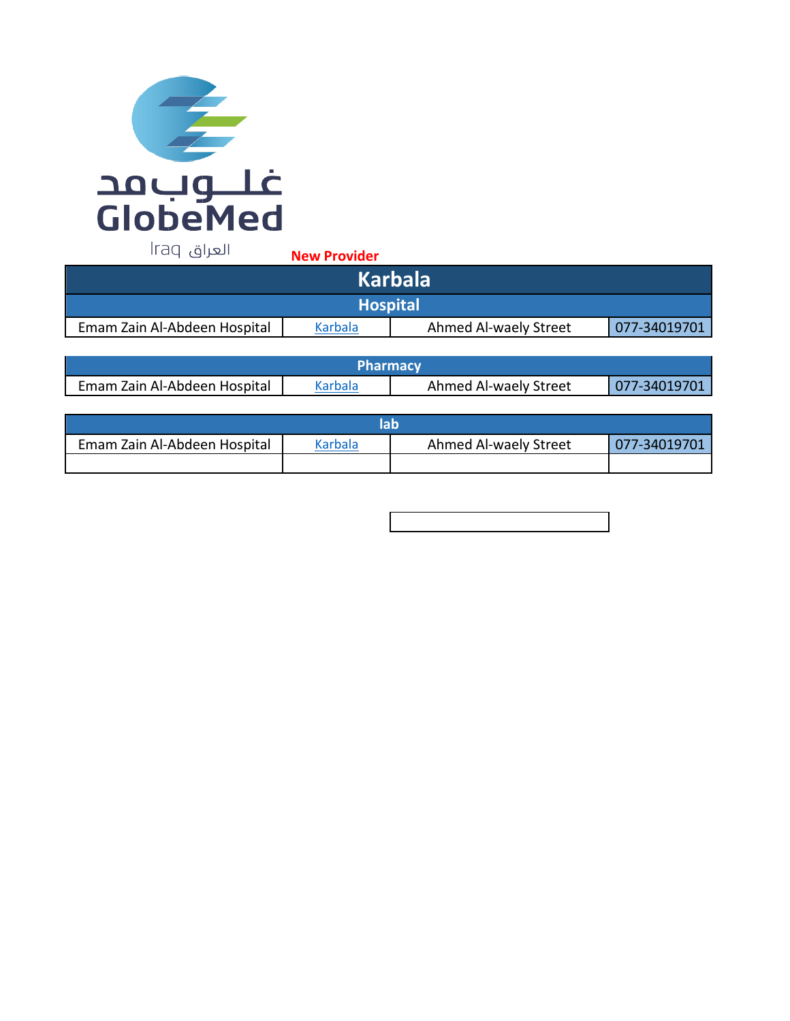

**New Provider** 

| <b>Karbala</b>               |         |                       |              |  |
|------------------------------|---------|-----------------------|--------------|--|
| <b>Hospital</b>              |         |                       |              |  |
| Emam Zain Al-Abdeen Hospital | Karbala | Ahmed Al-waely Street | 077-34019701 |  |

| <b>Pharmacy</b>              |         |                       |               |  |
|------------------------------|---------|-----------------------|---------------|--|
| Emam Zain Al-Abdeen Hospital | Karbala | Ahmed Al-waely Street | L077-34019701 |  |

| Emam Zain Al-Abdeen Hospital | Karbala | Ahmed Al-waely Street | 077-34019701 |  |
|------------------------------|---------|-----------------------|--------------|--|
|                              |         |                       |              |  |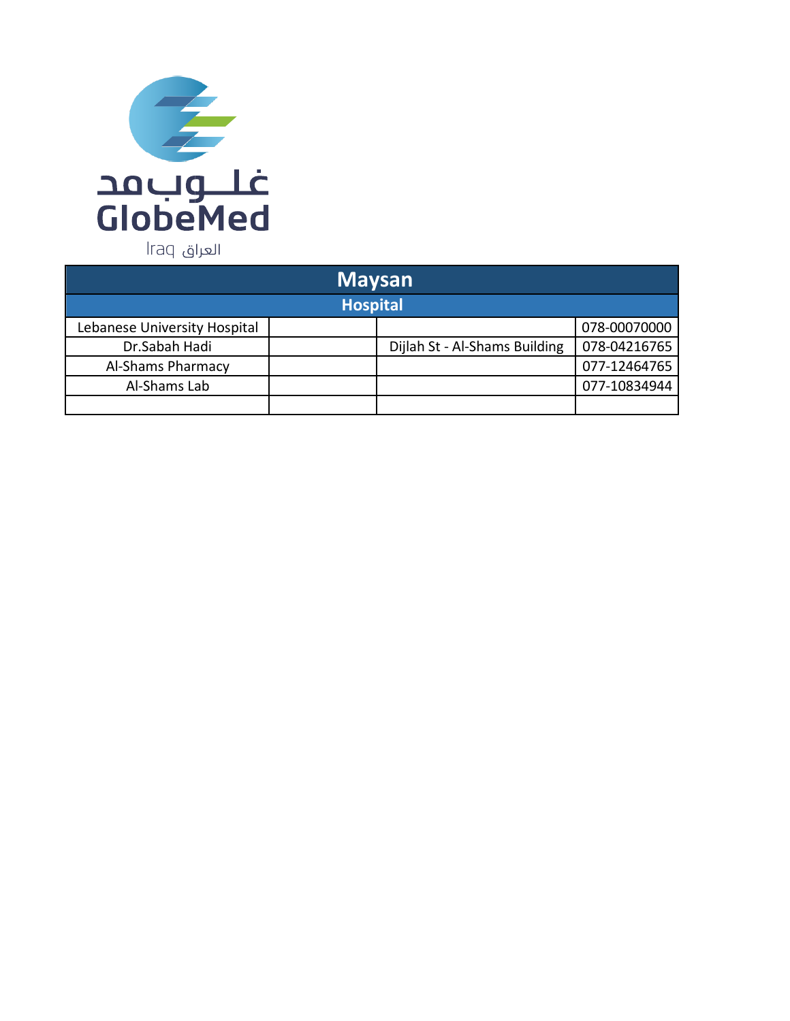

| <b>Maysan</b>                |                 |                               |              |  |  |
|------------------------------|-----------------|-------------------------------|--------------|--|--|
|                              | <b>Hospital</b> |                               |              |  |  |
| Lebanese University Hospital |                 |                               | 078-00070000 |  |  |
| Dr.Sabah Hadi                |                 | Dijlah St - Al-Shams Building | 078-04216765 |  |  |
| Al-Shams Pharmacy            |                 |                               | 077-12464765 |  |  |
| Al-Shams Lab                 |                 |                               | 077-10834944 |  |  |
|                              |                 |                               |              |  |  |